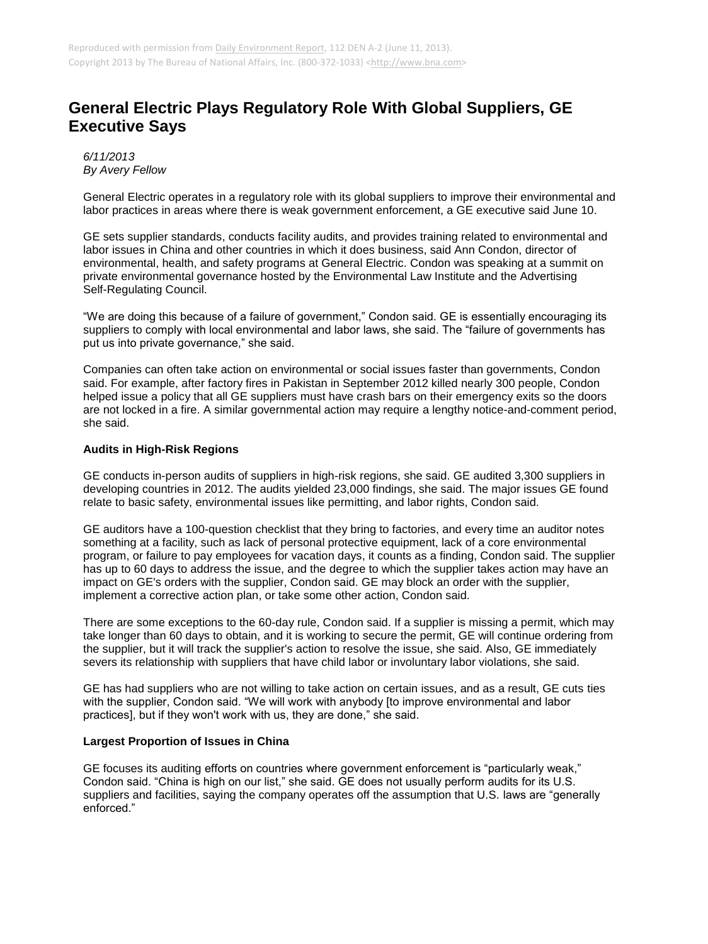## **General Electric Plays Regulatory Role With Global Suppliers, GE Executive Says**

*6/11/2013 By Avery Fellow*

General Electric operates in a regulatory role with its global suppliers to improve their environmental and labor practices in areas where there is weak government enforcement, a GE executive said June 10.

GE sets supplier standards, conducts facility audits, and provides training related to environmental and labor issues in China and other countries in which it does business, said Ann Condon, director of environmental, health, and safety programs at General Electric. Condon was speaking at a summit on private environmental governance hosted by the Environmental Law Institute and the Advertising Self-Regulating Council.

"We are doing this because of a failure of government," Condon said. GE is essentially encouraging its suppliers to comply with local environmental and labor laws, she said. The "failure of governments has put us into private governance," she said.

Companies can often take action on environmental or social issues faster than governments, Condon said. For example, after factory fires in Pakistan in September 2012 killed nearly 300 people, Condon helped issue a policy that all GE suppliers must have crash bars on their emergency exits so the doors are not locked in a fire. A similar governmental action may require a lengthy notice-and-comment period, she said.

## **Audits in High-Risk Regions**

GE conducts in-person audits of suppliers in high-risk regions, she said. GE audited 3,300 suppliers in developing countries in 2012. The audits yielded 23,000 findings, she said. The major issues GE found relate to basic safety, environmental issues like permitting, and labor rights, Condon said.

GE auditors have a 100-question checklist that they bring to factories, and every time an auditor notes something at a facility, such as lack of personal protective equipment, lack of a core environmental program, or failure to pay employees for vacation days, it counts as a finding, Condon said. The supplier has up to 60 days to address the issue, and the degree to which the supplier takes action may have an impact on GE's orders with the supplier, Condon said. GE may block an order with the supplier, implement a corrective action plan, or take some other action, Condon said.

There are some exceptions to the 60-day rule, Condon said. If a supplier is missing a permit, which may take longer than 60 days to obtain, and it is working to secure the permit, GE will continue ordering from the supplier, but it will track the supplier's action to resolve the issue, she said. Also, GE immediately severs its relationship with suppliers that have child labor or involuntary labor violations, she said.

GE has had suppliers who are not willing to take action on certain issues, and as a result, GE cuts ties with the supplier, Condon said. "We will work with anybody [to improve environmental and labor practices], but if they won't work with us, they are done," she said.

## **Largest Proportion of Issues in China**

GE focuses its auditing efforts on countries where government enforcement is "particularly weak," Condon said. "China is high on our list," she said. GE does not usually perform audits for its U.S. suppliers and facilities, saying the company operates off the assumption that U.S. laws are "generally enforced."